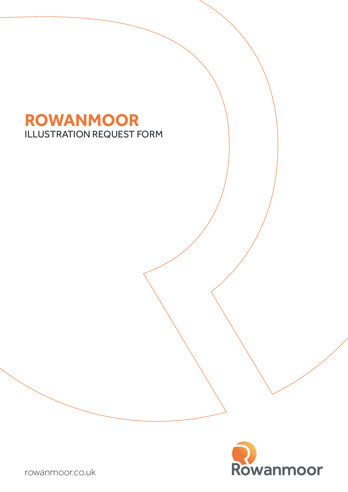# ILLUSTRATION REQUEST FORM **ROWANMOOR**



rowanmoor.co.uk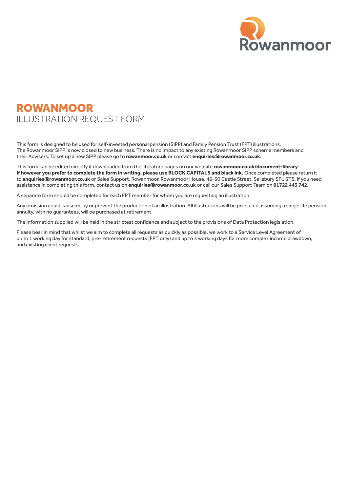

# ROWANMOOR ILLUSTRATION REQUEST FORM

This form is designed to be used for self-invested personal pension (SIPP) and Family Pension Trust (FPT) illustrations. The Rowanmoor SIPP is now closed to new business. There is no impact to any existing Rowanmoor SIPP scheme members and their Advisers. To set up a new SIPP please go to **[rowanmoor.co.uk](http://www.rowanmoor.co.uk)** or contact **[enquiries@rowanmoor.co.uk](mailto:enquiries%40rowanmoor.co.uk?subject=)**.

This form can be edited directly if downloaded from the literature pages on our website **[rowanmoor.co.uk/document-library](http://www.rowanmoor.co.uk/document-library)**. **If however you prefer to complete the form in writing, please use BLOCK CAPITALS and black ink.** Once completed please return it to **[enquiries@rowanmoor.co.uk](mailto:enquiries%40rowanmoor.co.uk?subject=)** or Sales Support, Rowanmoor, Rowanmoor House, 46-50 Castle Street, Salisbury SP1 3TS. If you need assistance in completing this form, contact us on **[enquiries@rowanmoor.co.uk](mailto:enquiries%40rowanmoor.co.uk?subject=)** or call our Sales Support Team on **01722 443 742**.

A separate form should be completed for each FPT member for whom you are requesting an illustration.

Any omission could cause delay or prevent the production of an illustration. All illustrations will be produced assuming a single life pension annuity, with no guarantees, will be purchased at retirement.

The information supplied will be held in the strictest confidence and subject to the provisions of Data Protection legislation.

Please bear in mind that whilst we aim to complete all requests as quickly as possible, we work to a Service Level Agreement of up to 1 working day for standard, pre-retirement requests (FPT only) and up to 3 working days for more complex income drawdown, and existing client requests.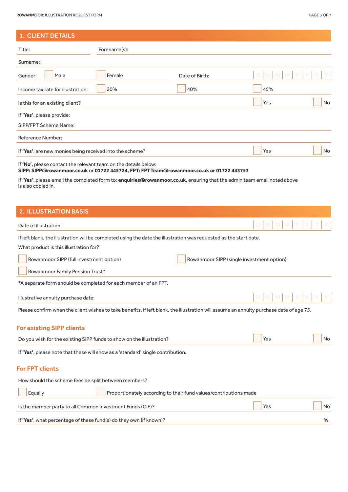## 1. CLIENT DETAILS

| Title:                                                   | Forename(s): |                |                   |
|----------------------------------------------------------|--------------|----------------|-------------------|
| Surname:                                                 |              |                |                   |
| Gender:<br>Male                                          | Female       | Date of Birth: | $D D M M Y Y Y Y$ |
| Income tax rate for illustration:                        | 20%          | 40%            | 45%               |
| Is this for an existing client?                          |              |                | Yes<br>No         |
| If 'Yes', please provide:                                |              |                |                   |
| SIPP/FPT Scheme Name:                                    |              |                |                   |
| Reference Number:                                        |              |                |                   |
| If 'Yes', are new monies being received into the scheme? |              |                | Yes<br><b>No</b>  |
|                                                          |              |                |                   |

If **'No'**, please contact the relevant team on the details below:

**SIPP: [SIPP@rowanmoor.co.uk](mailto:SIPP%40rowanmoor.co.uk?subject=)** or **01722 445724, FPT: [FPTTeam@rowanmoor.co.uk](mailto:FPTTeam%40rowanmoor.co.uk?subject=) or 01722 443753**

If **'Yes'**, please email the completed form to: **[enquiries@rowanmoor.co.uk](mailto:enquiries%40rowanmoor.co.uk?subject=)**, ensuring that the admin team email noted above is also copied in.

# 2. ILLUSTRATION BASIS

| Date of illustration:                                                                                                                   | <b>D</b> D                                |
|-----------------------------------------------------------------------------------------------------------------------------------------|-------------------------------------------|
| If left blank, the illustration will be completed using the date the illustration was requested as the start date.                      |                                           |
| What product is this illustration for?                                                                                                  |                                           |
| Rowanmoor SIPP (full investment option)                                                                                                 | Rowanmoor SIPP (single investment option) |
| Rowanmoor Family Pension Trust*                                                                                                         |                                           |
| *A separate form should be completed for each member of an FPT.                                                                         |                                           |
| Illustrative annuity purchase date:                                                                                                     | <b>DIDIMIM</b>                            |
| Please confirm when the client wishes to take benefits. If left blank, the illustration will assume an annuity purchase date of age 75. |                                           |
| <b>For existing SIPP clients</b>                                                                                                        |                                           |
| Do you wish for the existing SIPP funds to show on the illustration?                                                                    | Yes<br>No                                 |
| If 'Yes', please note that these will show as a 'standard' single contribution.                                                         |                                           |
| <b>For FPT clients</b>                                                                                                                  |                                           |
| How should the scheme fees be split between members?                                                                                    |                                           |
| Equally<br>Proportionately according to their fund values/contributions made                                                            |                                           |
| Is the member party to all Common Investment Funds (CIF)?                                                                               | <b>No</b><br>Yes                          |
| If 'Yes', what percentage of these fund(s) do they own (if known)?                                                                      | %                                         |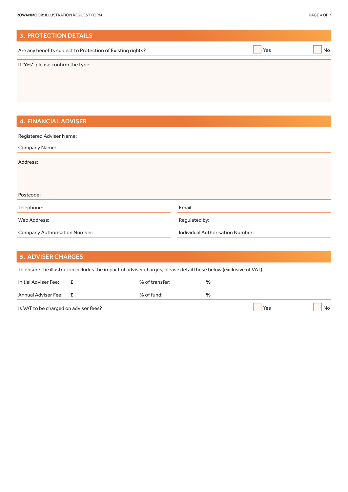| <b>3. PROTECTION DETAILS</b>                               |     |    |
|------------------------------------------------------------|-----|----|
| Are any benefits subject to Protection of Existing rights? | Yes | No |
| If 'Yes', please confirm the type:                         |     |    |

# 4. FINANCIAL ADVISER

| Registered Adviser Name:             |                                  |
|--------------------------------------|----------------------------------|
| Company Name:                        |                                  |
|                                      |                                  |
| Address:                             |                                  |
|                                      |                                  |
|                                      |                                  |
|                                      |                                  |
| Postcode:                            |                                  |
|                                      |                                  |
| Telephone:                           | Email:                           |
|                                      |                                  |
| Web Address:                         | Regulated by:                    |
|                                      |                                  |
| <b>Company Authorisation Number:</b> | Individual Authorisation Number: |
|                                      |                                  |

| <b>5. ADVISER CHARGES</b>             |                                                                                                                  |                |      |     |           |
|---------------------------------------|------------------------------------------------------------------------------------------------------------------|----------------|------|-----|-----------|
|                                       | To ensure the illustration includes the impact of adviser charges, please detail these below (exclusive of VAT). |                |      |     |           |
| Initial Adviser Fee:                  | Æ.                                                                                                               | % of transfer: | $\%$ |     |           |
| Annual Adviser Fee: <b>E</b>          |                                                                                                                  | % of fund:     | $\%$ |     |           |
| Is VAT to be charged on adviser fees? |                                                                                                                  |                |      | Yes | <b>No</b> |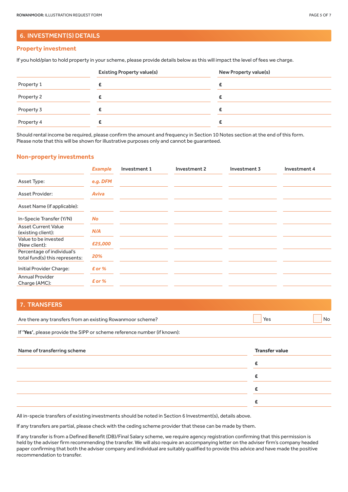### 6. INVESTMENT(S) DETAILS

#### **Property investment**

If you hold/plan to hold property in your scheme, please provide details below as this will impact the level of fees we charge.

|            | <b>Existing Property value(s)</b> | New Property value(s) |  |  |  |
|------------|-----------------------------------|-----------------------|--|--|--|
| Property 1 |                                   |                       |  |  |  |
| Property 2 |                                   |                       |  |  |  |
| Property 3 |                                   |                       |  |  |  |
| Property 4 |                                   |                       |  |  |  |

Should rental income be required, please confirm the amount and frequency in Section 10 Notes section at the end of this form. Please note that this will be shown for illustrative purposes only and cannot be guaranteed.

#### **Non-property investments**

|                                                              | <b>Example</b>  | Investment 1 | Investment 2 | Investment 3 | Investment 4 |
|--------------------------------------------------------------|-----------------|--------------|--------------|--------------|--------------|
| Asset Type:                                                  | e.g. DFM        |              |              |              |              |
| <b>Asset Provider:</b>                                       | <b>Aviva</b>    |              |              |              |              |
| Asset Name (if applicable):                                  |                 |              |              |              |              |
| In-Specie Transfer (Y/N)                                     | <b>No</b>       |              |              |              |              |
| <b>Asset Current Value</b><br>(existing client):             | N/A             |              |              |              |              |
| Value to be invested<br>(New client):                        | £25,000         |              |              |              |              |
| Percentage of individual's<br>total fund(s) this represents: | 20%             |              |              |              |              |
| Initial Provider Charge:                                     | $\epsilon$ or % |              |              |              |              |
| <b>Annual Provider</b><br>Charge (AMC):                      | $E$ or %        |              |              |              |              |

# 7. TRANSFERS

| Are there any transfers from an existing Rowanmoor scheme? |  |  |
|------------------------------------------------------------|--|--|
|                                                            |  |  |

If **'Yes'**, please provide the SIPP or scheme reference number (if known):

| Name of transferring scheme | <b>Transfer value</b> |
|-----------------------------|-----------------------|
|                             |                       |
|                             |                       |
|                             |                       |
|                             |                       |

All in-specie transfers of existing investments should be noted in Section 6 Investment(s), details above.

If any transfers are partial, please check with the ceding scheme provider that these can be made by them.

If any transfer is from a Defined Benefit (DB)/Final Salary scheme, we require agency registration confirming that this permission is held by the adviser firm recommending the transfer. We will also require an accompanying letter on the adviser firm's company headed paper confirming that both the adviser company and individual are suitably qualified to provide this advice and have made the positive recommendation to transfer.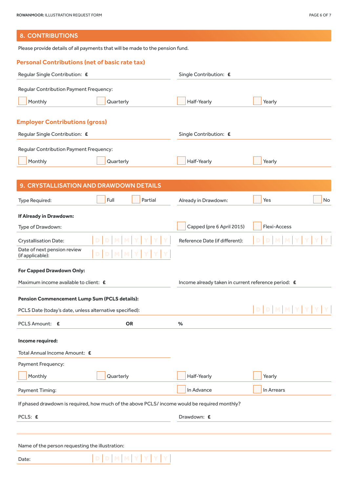# 8. CONTRIBUTIONS

Please provide details of all payments that will be made to the pension fund.

## **Personal Contributions (net of basic rate tax)**

| Regular Single Contribution: E                          |                                                                                               | Single Contribution: £                              |              |
|---------------------------------------------------------|-----------------------------------------------------------------------------------------------|-----------------------------------------------------|--------------|
| Regular Contribution Payment Frequency:                 |                                                                                               |                                                     |              |
| Monthly                                                 | Quarterly                                                                                     | Half-Yearly                                         | Yearly       |
|                                                         |                                                                                               |                                                     |              |
| <b>Employer Contributions (gross)</b>                   |                                                                                               |                                                     |              |
| Regular Single Contribution: £                          |                                                                                               | Single Contribution: £                              |              |
| Regular Contribution Payment Frequency:                 |                                                                                               |                                                     |              |
| Monthly                                                 | Quarterly                                                                                     | Half-Yearly                                         | Yearly       |
|                                                         |                                                                                               |                                                     |              |
|                                                         | 9. CRYSTALLISATION AND DRAWDOWN DETAILS                                                       |                                                     |              |
| Type Required:                                          | Full<br>Partial                                                                               | Already in Drawdown:                                | Yes<br>No    |
| If Already in Drawdown:                                 |                                                                                               |                                                     |              |
| Type of Drawdown:                                       |                                                                                               | Capped (pre 6 April 2015)                           | Flexi-Access |
| <b>Crystallisation Date:</b>                            |                                                                                               | Reference Date (if different):                      |              |
| Date of next pension review<br>(if applicable):         |                                                                                               |                                                     |              |
| For Capped Drawdown Only:                               |                                                                                               |                                                     |              |
| Maximum income available to client: £                   |                                                                                               | Income already taken in current reference period: £ |              |
| Pension Commencement Lump Sum (PCLS details):           |                                                                                               |                                                     |              |
| PCLS Date (today's date, unless alternative specified): |                                                                                               |                                                     | D            |
| PCLS Amount: E                                          | <b>OR</b>                                                                                     | %                                                   |              |
| Income required:                                        |                                                                                               |                                                     |              |
| Total Annual Income Amount: £                           |                                                                                               |                                                     |              |
| Payment Frequency:                                      |                                                                                               |                                                     |              |
| Monthly                                                 | Quarterly                                                                                     | Half-Yearly                                         | Yearly       |
| Payment Timing:                                         |                                                                                               | In Advance                                          | In Arrears   |
|                                                         | If phased drawdown is required, how much of the above PCLS/ income would be required monthly? |                                                     |              |
|                                                         |                                                                                               |                                                     |              |
| PCLS: £                                                 |                                                                                               | Drawdown: £                                         |              |
|                                                         |                                                                                               |                                                     |              |
| Name of the person requesting the illustration:         |                                                                                               |                                                     |              |